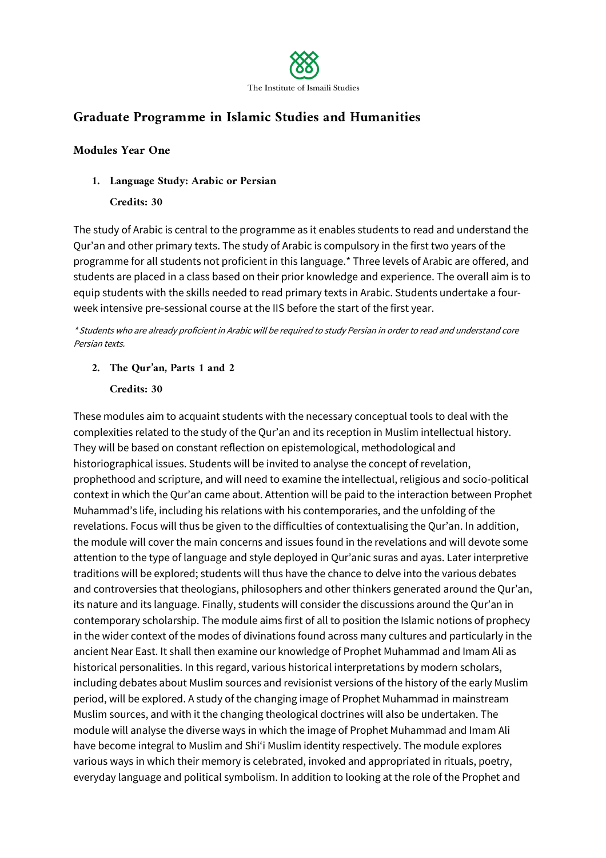

# **Graduate Programme in Islamic Studies and Humanities**

#### **Modules Year One**

**1. Language Study: Arabic or Persian**

#### **Credits: 30**

The study of Arabic is central to the programme as it enables students to read and understand the Qur'an and other primary texts. The study of Arabic is compulsory in the first two years of the programme for all students not proficient in this language.\* Three levels of Arabic are offered, and students are placed in a class based on their prior knowledge and experience. The overall aim is to equip students with the skills needed to read primary texts in Arabic. Students undertake a fourweek intensive pre-sessional course at the IIS before the start of the first year.

\* Students who are already proficient in Arabic will be required to study Persian in order to read and understand core Persian texts.

**2. The Qur'an, Parts 1 and 2**

#### **Credits: 30**

These modules aim to acquaint students with the necessary conceptual tools to deal with the complexities related to the study of the Qur'an and its reception in Muslim intellectual history. They will be based on constant reflection on epistemological, methodological and historiographical issues. Students will be invited to analyse the concept of revelation, prophethood and scripture, and will need to examine the intellectual, religious and socio-political context in which the Qur'an came about. Attention will be paid to the interaction between Prophet Muhammad's life, including his relations with his contemporaries, and the unfolding of the revelations. Focus will thus be given to the difficulties of contextualising the Qur'an. In addition, the module will cover the main concerns and issues found in the revelations and will devote some attention to the type of language and style deployed in Qur'anic suras and ayas. Later interpretive traditions will be explored; students will thus have the chance to delve into the various debates and controversies that theologians, philosophers and other thinkers generated around the Qur'an, its nature and its language. Finally, students will consider the discussions around the Qur'an in contemporary scholarship. The module aims first of all to position the Islamic notions of prophecy in the wider context of the modes of divinations found across many cultures and particularly in the ancient Near East. It shall then examine our knowledge of Prophet Muhammad and Imam Ali as historical personalities. In this regard, various historical interpretations by modern scholars, including debates about Muslim sources and revisionist versions of the history of the early Muslim period, will be explored. A study of the changing image of Prophet Muhammad in mainstream Muslim sources, and with it the changing theological doctrines will also be undertaken. The module will analyse the diverse ways in which the image of Prophet Muhammad and Imam Ali have become integral to Muslim and Shi'i Muslim identity respectively. The module explores various ways in which their memory is celebrated, invoked and appropriated in rituals, poetry, everyday language and political symbolism. In addition to looking at the role of the Prophet and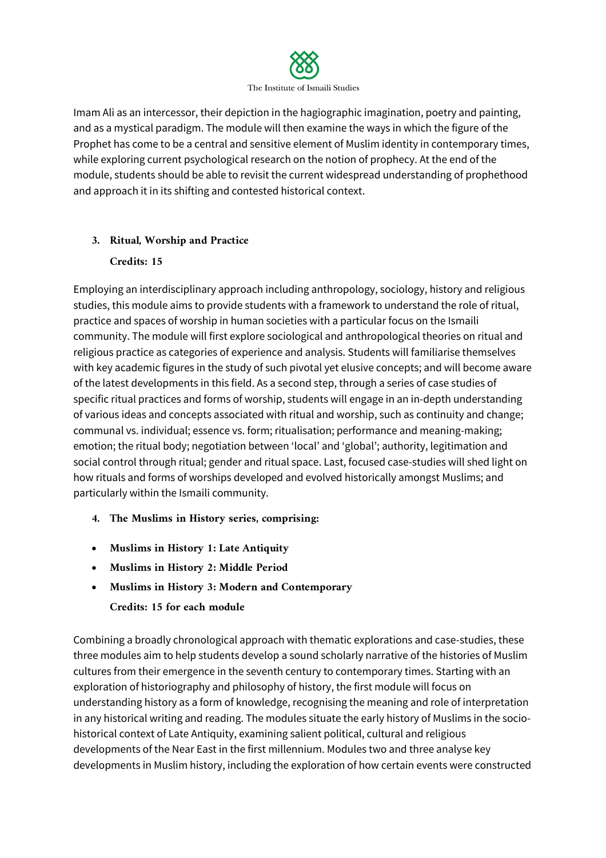

Imam Ali as an intercessor, their depiction in the hagiographic imagination, poetry and painting, and as a mystical paradigm. The module will then examine the ways in which the figure of the Prophet has come to be a central and sensitive element of Muslim identity in contemporary times, while exploring current psychological research on the notion of prophecy. At the end of the module, students should be able to revisit the current widespread understanding of prophethood and approach it in its shifting and contested historical context.

# **3. Ritual, Worship and Practice**

# **Credits: 15**

Employing an interdisciplinary approach including anthropology, sociology, history and religious studies, this module aims to provide students with a framework to understand the role of ritual, practice and spaces of worship in human societies with a particular focus on the Ismaili community. The module will first explore sociological and anthropological theories on ritual and religious practice as categories of experience and analysis. Students will familiarise themselves with key academic figures in the study of such pivotal yet elusive concepts; and will become aware of the latest developments in this field. As a second step, through a series of case studies of specific ritual practices and forms of worship, students will engage in an in-depth understanding of various ideas and concepts associated with ritual and worship, such as continuity and change; communal vs. individual; essence vs. form; ritualisation; performance and meaning-making; emotion; the ritual body; negotiation between 'local' and 'global'; authority, legitimation and social control through ritual; gender and ritual space. Last, focused case-studies will shed light on how rituals and forms of worships developed and evolved historically amongst Muslims; and particularly within the Ismaili community.

- **4. The Muslims in History series, comprising:**
- **Muslims in History 1: Late Antiquity**
- **Muslims in History 2: Middle Period**
- **Muslims in History 3: Modern and Contemporary Credits: 15 for each module**

Combining a broadly chronological approach with thematic explorations and case-studies, these three modules aim to help students develop a sound scholarly narrative of the histories of Muslim cultures from their emergence in the seventh century to contemporary times. Starting with an exploration of historiography and philosophy of history, the first module will focus on understanding history as a form of knowledge, recognising the meaning and role of interpretation in any historical writing and reading. The modules situate the early history of Muslims in the sociohistorical context of Late Antiquity, examining salient political, cultural and religious developments of the Near East in the first millennium. Modules two and three analyse key developments in Muslim history, including the exploration of how certain events were constructed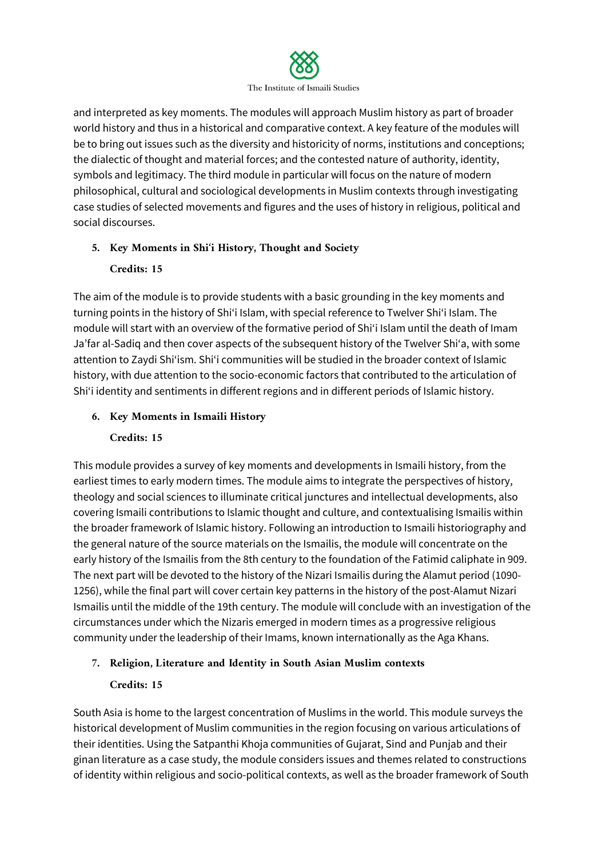

and interpreted as key moments. The modules will approach Muslim history as part of broader world history and thus in a historical and comparative context. A key feature of the modules will be to bring out issues such as the diversity and historicity of norms, institutions and conceptions; the dialectic of thought and material forces; and the contested nature of authority, identity, symbols and legitimacy. The third module in particular will focus on the nature of modern philosophical, cultural and sociological developments in Muslim contexts through investigating case studies of selected movements and figures and the uses of history in religious, political and social discourses.

# **5. Key Moments in Shi***'***i History, Thought and Society**

# **Credits: 15**

The aim of the module is to provide students with a basic grounding in the key moments and turning points in the history of Shi'i Islam, with special reference to Twelver Shi'i Islam. The module will start with an overview of the formative period of Shi'i Islam until the death of Imam Ja'far al-Sadiq and then cover aspects of the subsequent history of the Twelver Shi'a, with some attention to Zaydi Shi'ism. Shi'i communities will be studied in the broader context of Islamic history, with due attention to the socio-economic factors that contributed to the articulation of Shi'i identity and sentiments in different regions and in different periods of Islamic history.

# **6. Key Moments in Ismaili History**

# **Credits: 15**

This module provides a survey of key moments and developments in Ismaili history, from the earliest times to early modern times. The module aims to integrate the perspectives of history, theology and social sciences to illuminate critical junctures and intellectual developments, also covering Ismaili contributions to Islamic thought and culture, and contextualising Ismailis within the broader framework of Islamic history. Following an introduction to Ismaili historiography and the general nature of the source materials on the Ismailis, the module will concentrate on the early history of the Ismailis from the 8th century to the foundation of the Fatimid caliphate in 909. The next part will be devoted to the history of the Nizari Ismailis during the Alamut period (1090- 1256), while the final part will cover certain key patterns in the history of the post-Alamut Nizari Ismailis until the middle of the 19th century. The module will conclude with an investigation of the circumstances under which the Nizaris emerged in modern times as a progressive religious community under the leadership of their Imams, known internationally as the Aga Khans.

# **7. Religion, Literature and Identity in South Asian Muslim contexts**

# **Credits: 15**

South Asia is home to the largest concentration of Muslims in the world. This module surveys the historical development of Muslim communities in the region focusing on various articulations of their identities. Using the Satpanthi Khoja communities of Gujarat, Sind and Punjab and their ginan literature as a case study, the module considers issues and themes related to constructions of identity within religious and socio-political contexts, as well as the broader framework of South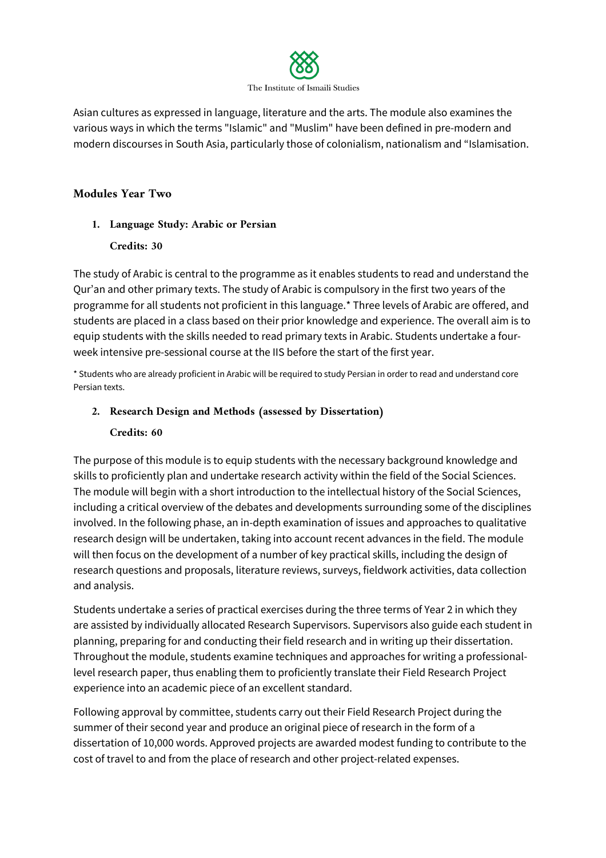

Asian cultures as expressed in language, literature and the arts. The module also examines the various ways in which the terms "Islamic" and "Muslim" have been defined in pre-modern and modern discourses in South Asia, particularly those of colonialism, nationalism and "Islamisation.

## **Modules Year Two**

#### **1. Language Study: Arabic or Persian**

#### **Credits: 30**

The study of Arabic is central to the programme as it enables students to read and understand the Qur'an and other primary texts. The study of Arabic is compulsory in the first two years of the programme for all students not proficient in this language.\* Three levels of Arabic are offered, and students are placed in a class based on their prior knowledge and experience. The overall aim is to equip students with the skills needed to read primary texts in Arabic. Students undertake a fourweek intensive pre-sessional course at the IIS before the start of the first year.

\* Students who are already proficient in Arabic will be required to study Persian in order to read and understand core Persian texts.

# **2. Research Design and Methods (assessed by Dissertation)**

#### **Credits: 60**

The purpose of this module is to equip students with the necessary background knowledge and skills to proficiently plan and undertake research activity within the field of the Social Sciences. The module will begin with a short introduction to the intellectual history of the Social Sciences, including a critical overview of the debates and developments surrounding some of the disciplines involved. In the following phase, an in-depth examination of issues and approaches to qualitative research design will be undertaken, taking into account recent advances in the field. The module will then focus on the development of a number of key practical skills, including the design of research questions and proposals, literature reviews, surveys, fieldwork activities, data collection and analysis.

Students undertake a series of practical exercises during the three terms of Year 2 in which they are assisted by individually allocated Research Supervisors. Supervisors also guide each student in planning, preparing for and conducting their field research and in writing up their dissertation. Throughout the module, students examine techniques and approaches for writing a professionallevel research paper, thus enabling them to proficiently translate their Field Research Project experience into an academic piece of an excellent standard.

Following approval by committee, students carry out their Field Research Project during the summer of their second year and produce an original piece of research in the form of a dissertation of 10,000 words. Approved projects are awarded modest funding to contribute to the cost of travel to and from the place of research and other project-related expenses.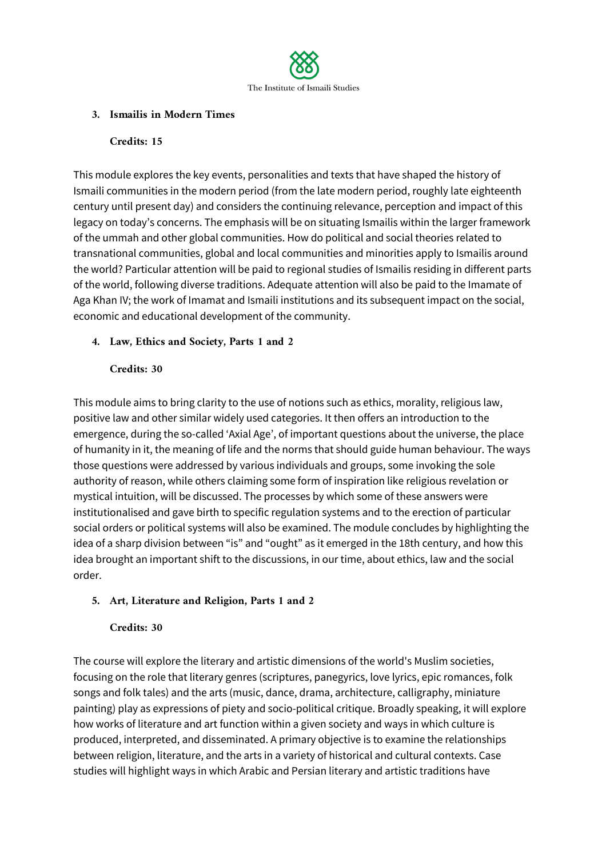

## **3. Ismailis in Modern Times**

#### **Credits: 15**

This module explores the key events, personalities and texts that have shaped the history of Ismaili communities in the modern period (from the late modern period, roughly late eighteenth century until present day) and considers the continuing relevance, perception and impact of this legacy on today's concerns. The emphasis will be on situating Ismailis within the larger framework of the ummah and other global communities. How do political and social theories related to transnational communities, global and local communities and minorities apply to Ismailis around the world? Particular attention will be paid to regional studies of Ismailis residing in different parts of the world, following diverse traditions. Adequate attention will also be paid to the Imamate of Aga Khan IV; the work of Imamat and Ismaili institutions and its subsequent impact on the social, economic and educational development of the community.

# **4. Law, Ethics and Society, Parts 1 and 2**

#### **Credits: 30**

This module aims to bring clarity to the use of notions such as ethics, morality, religious law, positive law and other similar widely used categories. It then offers an introduction to the emergence, during the so-called 'Axial Age', of important questions about the universe, the place of humanity in it, the meaning of life and the norms that should guide human behaviour. The ways those questions were addressed by various individuals and groups, some invoking the sole authority of reason, while others claiming some form of inspiration like religious revelation or mystical intuition, will be discussed. The processes by which some of these answers were institutionalised and gave birth to specific regulation systems and to the erection of particular social orders or political systems will also be examined. The module concludes by highlighting the idea of a sharp division between "is" and "ought" as it emerged in the 18th century, and how this idea brought an important shift to the discussions, in our time, about ethics, law and the social order.

# **5. Art, Literature and Religion, Parts 1 and 2**

# **Credits: 30**

The course will explore the literary and artistic dimensions of the world's Muslim societies, focusing on the role that literary genres (scriptures, panegyrics, love lyrics, epic romances, folk songs and folk tales) and the arts (music, dance, drama, architecture, calligraphy, miniature painting) play as expressions of piety and socio-political critique. Broadly speaking, it will explore how works of literature and art function within a given society and ways in which culture is produced, interpreted, and disseminated. A primary objective is to examine the relationships between religion, literature, and the arts in a variety of historical and cultural contexts. Case studies will highlight ways in which Arabic and Persian literary and artistic traditions have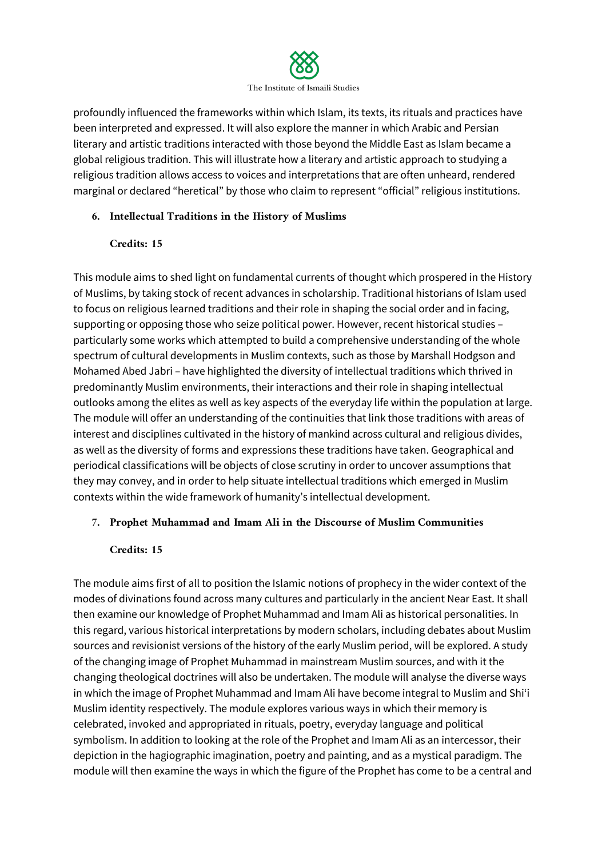

profoundly influenced the frameworks within which Islam, its texts, its rituals and practices have been interpreted and expressed. It will also explore the manner in which Arabic and Persian literary and artistic traditions interacted with those beyond the Middle East as Islam became a global religious tradition. This will illustrate how a literary and artistic approach to studying a religious tradition allows access to voices and interpretations that are often unheard, rendered marginal or declared "heretical" by those who claim to represent "official" religious institutions.

# **6. Intellectual Traditions in the History of Muslims**

#### **Credits: 15**

This module aims to shed light on fundamental currents of thought which prospered in the History of Muslims, by taking stock of recent advances in scholarship. Traditional historians of Islam used to focus on religious learned traditions and their role in shaping the social order and in facing, supporting or opposing those who seize political power. However, recent historical studies – particularly some works which attempted to build a comprehensive understanding of the whole spectrum of cultural developments in Muslim contexts, such as those by Marshall Hodgson and Mohamed Abed Jabri – have highlighted the diversity of intellectual traditions which thrived in predominantly Muslim environments, their interactions and their role in shaping intellectual outlooks among the elites as well as key aspects of the everyday life within the population at large. The module will offer an understanding of the continuities that link those traditions with areas of interest and disciplines cultivated in the history of mankind across cultural and religious divides, as well as the diversity of forms and expressions these traditions have taken. Geographical and periodical classifications will be objects of close scrutiny in order to uncover assumptions that they may convey, and in order to help situate intellectual traditions which emerged in Muslim contexts within the wide framework of humanity's intellectual development.

# **7. Prophet Muhammad and Imam Ali in the Discourse of Muslim Communities**

#### **Credits: 15**

The module aims first of all to position the Islamic notions of prophecy in the wider context of the modes of divinations found across many cultures and particularly in the ancient Near East. It shall then examine our knowledge of Prophet Muhammad and Imam Ali as historical personalities. In this regard, various historical interpretations by modern scholars, including debates about Muslim sources and revisionist versions of the history of the early Muslim period, will be explored. A study of the changing image of Prophet Muhammad in mainstream Muslim sources, and with it the changing theological doctrines will also be undertaken. The module will analyse the diverse ways in which the image of Prophet Muhammad and Imam Ali have become integral to Muslim and Shi'i Muslim identity respectively. The module explores various ways in which their memory is celebrated, invoked and appropriated in rituals, poetry, everyday language and political symbolism. In addition to looking at the role of the Prophet and Imam Ali as an intercessor, their depiction in the hagiographic imagination, poetry and painting, and as a mystical paradigm. The module will then examine the ways in which the figure of the Prophet has come to be a central and